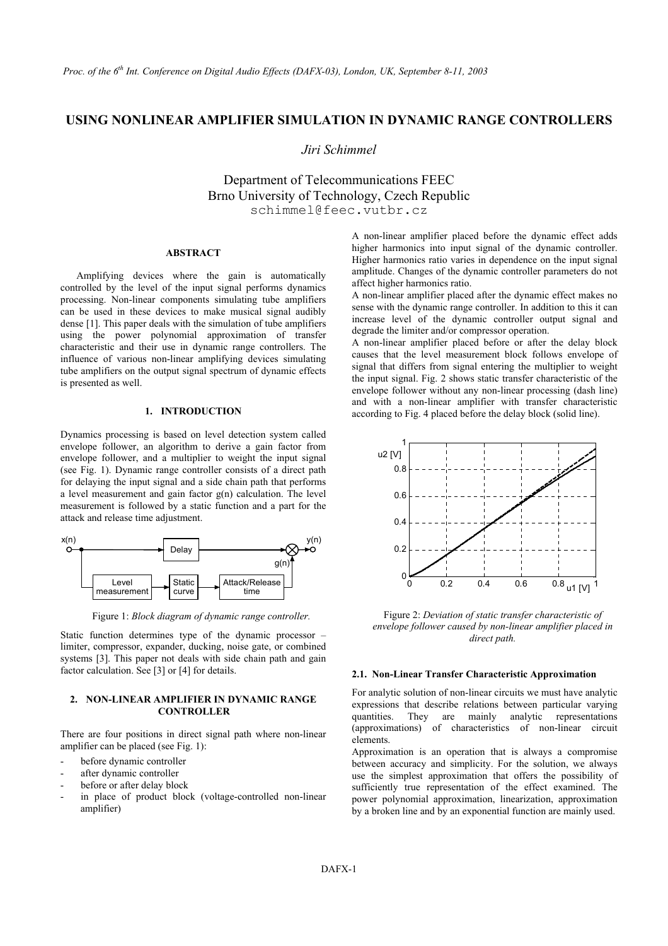# **USING NONLINEAR AMPLIFIER SIMULATION IN DYNAMIC RANGE CONTROLLERS**

*Jiri Schimmel* 

Department of Telecommunications FEEC Brno University of Technology, Czech Republic schimmel@feec.vutbr.cz

### **ABSTRACT**

Amplifying devices where the gain is automatically controlled by the level of the input signal performs dynamics processing. Non-linear components simulating tube amplifiers can be used in these devices to make musical signal audibly dense [1]. This paper deals with the simulation of tube amplifiers using the power polynomial approximation of transfer characteristic and their use in dynamic range controllers. The influence of various non-linear amplifying devices simulating tube amplifiers on the output signal spectrum of dynamic effects is presented as well.

Dynamics processing is based on level detection system called envelope follower, an algorithm to derive a gain factor from envelope follower, and a multiplier to weight the input signal (see Fig. 1). Dynamic range controller consists of a direct path for delaying the input signal and a side chain path that performs a level measurement and gain factor g(n) calculation. The level measurement is followed by a static function and a part for the attack and release time adjustment.



Figure 1: *Block diagram of dynamic range controller.* 

Static function determines type of the dynamic processor – limiter, compressor, expander, ducking, noise gate, or combined systems [3]. This paper not deals with side chain path and gain factor calculation. See [3] or [4] for details. **2.1. Non-Linear Transfer Characteristic Approximation** 

### **2. NON-LINEAR AMPLIFIER IN DYNAMIC RANGE CONTROLLER**

There are four positions in direct signal path where non-linear amplifier can be placed (see Fig. 1):<br>Approximation is an operation that is always a compromise

- before dynamic controller
- after dynamic controller
- before or after delay block
- in place of product block (voltage-controlled non-linear amplifier)

A non-linear amplifier placed before the dynamic effect adds higher harmonics into input signal of the dynamic controller. Higher harmonics ratio varies in dependence on the input signal amplitude. Changes of the dynamic controller parameters do not affect higher harmonics ratio.

A non-linear amplifier placed after the dynamic effect makes no sense with the dynamic range controller. In addition to this it can increase level of the dynamic controller output signal and degrade the limiter and/or compressor operation.

A non-linear amplifier placed before or after the delay block causes that the level measurement block follows envelope of signal that differs from signal entering the multiplier to weight the input signal. Fig. 2 shows static transfer characteristic of the envelope follower without any non-linear processing (dash line) and with a non-linear amplifier with transfer characteristic **1.** INTRODUCTION **1.** according to Fig. 4 placed before the delay block (solid line).



Figure 2: *Deviation of static transfer characteristic of envelope follower caused by non-linear amplifier placed in direct path.* 

For analytic solution of non-linear circuits we must have analytic expressions that describe relations between particular varying quantities. They are mainly analytic representations (approximations) of characteristics of non-linear circuit elements.

between accuracy and simplicity. For the solution, we always use the simplest approximation that offers the possibility of sufficiently true representation of the effect examined. The power polynomial approximation, linearization, approximation by a broken line and by an exponential function are mainly used.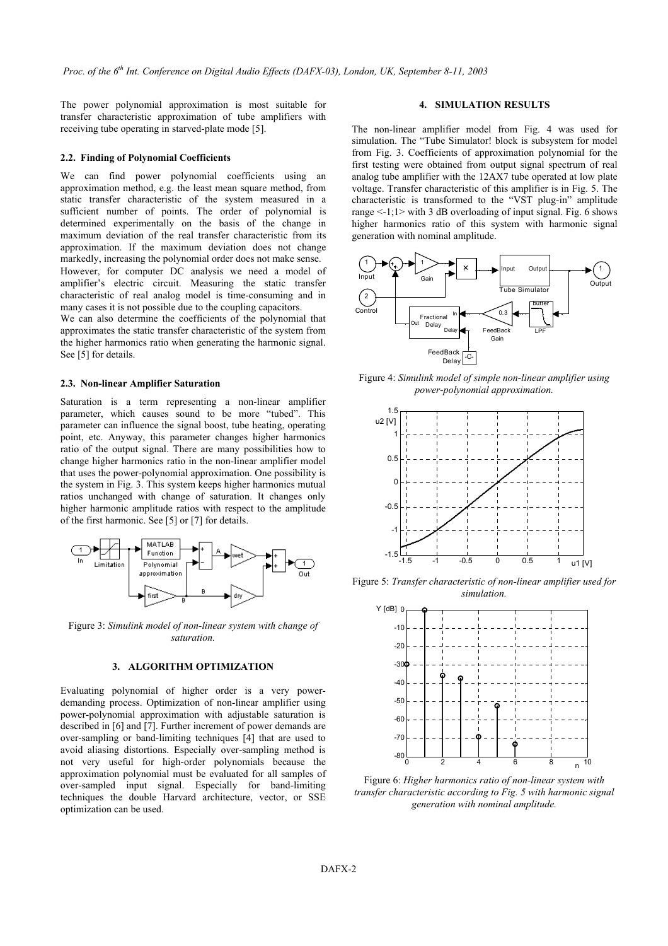The power polynomial approximation is most suitable for transfer characteristic approximation of tube amplifiers with receiving tube operating in starved-plate mode [5].

#### **2.2. Finding of Polynomial Coefficients**

We can find power polynomial coefficients using an approximation method, e.g. the least mean square method, from static transfer characteristic of the system measured in a sufficient number of points. The order of polynomial is determined experimentally on the basis of the change in maximum deviation of the real transfer characteristic from its approximation. If the maximum deviation does not change markedly, increasing the polynomial order does not make sense. However, for computer DC analysis we need a model of amplifier's electric circuit. Measuring the static transfer characteristic of real analog model is time-consuming and in many cases it is not possible due to the coupling capacitors.

We can also determine the coefficients of the polynomial that approximates the static transfer characteristic of the system from the higher harmonics ratio when generating the harmonic signal. See [5] for details.

#### **2.3. Non-linear Amplifier Saturation**

Saturation is a term representing a non-linear amplifier parameter, which causes sound to be more "tubed". This parameter can influence the signal boost, tube heating, operating point, etc. Anyway, this parameter changes higher harmonics ratio of the output signal. There are many possibilities how to change higher harmonics ratio in the non-linear amplifier model that uses the power-polynomial approximation. One possibility is the system in Fig. 3. This system keeps higher harmonics mutual ratios unchanged with change of saturation. It changes only higher harmonic amplitude ratios with respect to the amplitude of the first harmonic. See [5] or [7] for details.



Figure 3: *Simulink model of non-linear system with change of saturation.*

### **3. ALGORITHM OPTIMIZATION**

Evaluating polynomial of higher order is a very powerdemanding process. Optimization of non-linear amplifier using power-polynomial approximation with adjustable saturation is described in [6] and [7]. Further increment of power demands are over-sampling or band-limiting techniques [4] that are used to avoid aliasing distortions. Especially over-sampling method is not very useful for high-order polynomials because the approximation polynomial must be evaluated for all samples of over-sampled input signal. Especially for band-limiting techniques the double Harvard architecture, vector, or SSE optimization can be used.

## **4. SIMULATION RESULTS**

The non-linear amplifier model from Fig. 4 was used for simulation. The "Tube Simulator! block is subsystem for model from Fig. 3. Coefficients of approximation polynomial for the first testing were obtained from output signal spectrum of real analog tube amplifier with the 12AX7 tube operated at low plate voltage. Transfer characteristic of this amplifier is in Fig. 5. The characteristic is transformed to the "VST plug-in" amplitude range  $\le$ -1;1 $>$  with 3 dB overloading of input signal. Fig. 6 shows higher harmonics ratio of this system with harmonic signal generation with nominal amplitude.



Figure 4: *Simulink model of simple non-linear amplifier using power-polynomial approximation.* 



Figure 5: *Transfer characteristic of non-linear amplifier used for simulation.* 



Figure 6: *Higher harmonics ratio of non-linear system with transfer characteristic according to Fig. 5 with harmonic signal generation with nominal amplitude.*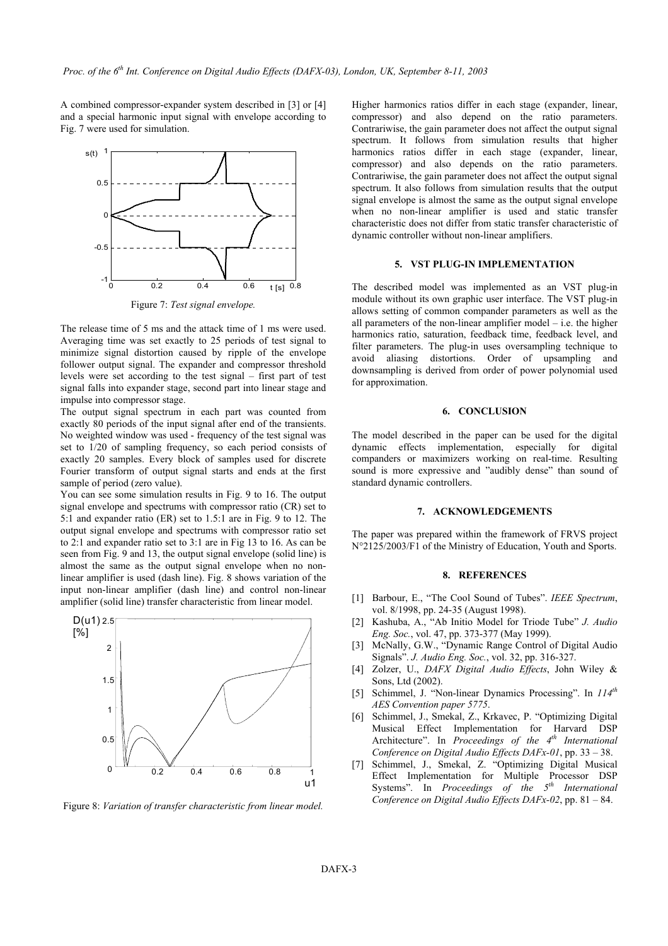A combined compressor-expander system described in [3] or [4] and a special harmonic input signal with envelope according to Fig. 7 were used for simulation.



Figure 7: *Test signal envelope.* 

The release time of 5 ms and the attack time of 1 ms were used. Averaging time was set exactly to 25 periods of test signal to minimize signal distortion caused by ripple of the envelope follower output signal. The expander and compressor threshold levels were set according to the test signal – first part of test signal falls into expander stage, second part into linear stage and impulse into compressor stage.

The output signal spectrum in each part was counted from **6. CONCLUSION** exactly 80 periods of the input signal after end of the transients. No weighted window was used - frequency of the test signal was set to 1/20 of sampling frequency, so each period consists of exactly 20 samples. Every block of samples used for discrete Fourier transform of output signal starts and ends at the first sample of period (zero value).

You can see some simulation results in Fig. 9 to 16. The output signal envelope and spectrums with compressor ratio (CR) set to 5:1 and expander ratio (ER) set to 1.5:1 are in Fig. 9 to 12. The output signal envelope and spectrums with compressor ratio set to 2:1 and expander ratio set to 3:1 are in Fig 13 to 16. As can be seen from Fig. 9 and 13, the output signal envelope (solid line) is almost the same as the output signal envelope when no nonlinear amplifier is used (dash line). Fig. 8 shows variation of the input non-linear amplifier (dash line) and control non-linear amplifier (solid line) transfer characteristic from linear model.



Higher harmonics ratios differ in each stage (expander, linear, compressor) and also depend on the ratio parameters. Contrariwise, the gain parameter does not affect the output signal spectrum. It follows from simulation results that higher harmonics ratios differ in each stage (expander, linear, compressor) and also depends on the ratio parameters. Contrariwise, the gain parameter does not affect the output signal spectrum. It also follows from simulation results that the output signal envelope is almost the same as the output signal envelope when no non-linear amplifier is used and static transfer characteristic does not differ from static transfer characteristic of dynamic controller without non-linear amplifiers.

#### **5. VST PLUG-IN IMPLEMENTATION**

The described model was implemented as an VST plug-in module without its own graphic user interface. The VST plug-in allows setting of common compander parameters as well as the all parameters of the non-linear amplifier model  $-$  i.e. the higher harmonics ratio, saturation, feedback time, feedback level, and filter parameters. The plug-in uses oversampling technique to avoid aliasing distortions. Order of upsampling and downsampling is derived from order of power polynomial used for approximation.

The model described in the paper can be used for the digital dynamic effects implementation, especially for digital companders or maximizers working on real-time. Resulting sound is more expressive and "audibly dense" than sound of standard dynamic controllers.

#### **7. ACKNOWLEDGEMENTS**

The paper was prepared within the framework of FRVS project N°2125/2003/F1 of the Ministry of Education, Youth and Sports.

#### **8. REFERENCES**

- [1] Barbour, E., "The Cool Sound of Tubes". *IEEE Spectrum*, vol. 8/1998, pp. 24-35 (August 1998).
- [2] Kashuba, A., "Ab Initio Model for Triode Tube" *J. Audio Eng. Soc.*, vol. 47, pp. 373-377 (May 1999).
- [3] McNally, G.W., "Dynamic Range Control of Digital Audio Signals". *J. Audio Eng. Soc.*, vol. 32, pp. 316-327.
- [4] Zolzer, U., *DAFX Digital Audio Effects*, John Wiley & Sons, Ltd (2002).
- [5] Schimmel, J. "Non-linear Dynamics Processing". In *114th AES Convention paper 5775*.
- [6] Schimmel, J., Smekal, Z., Krkavec, P. "Optimizing Digital Musical Effect Implementation for Harvard DSP Architecture". In *Proceedings of the 4<sup>th</sup> International Conference on Digital Audio Effects DAFx-01*, pp. 33 – 38.
- [7] Schimmel, J., Smekal, Z. "Optimizing Digital Musical Effect Implementation for Multiple Processor DSP Systems". In *Proceedings of the 5th International Conference on Digital Audio Effects DAFx-02*, pp. 81 – 84. Figure 8: *Variation of transfer characteristic from linear model.*